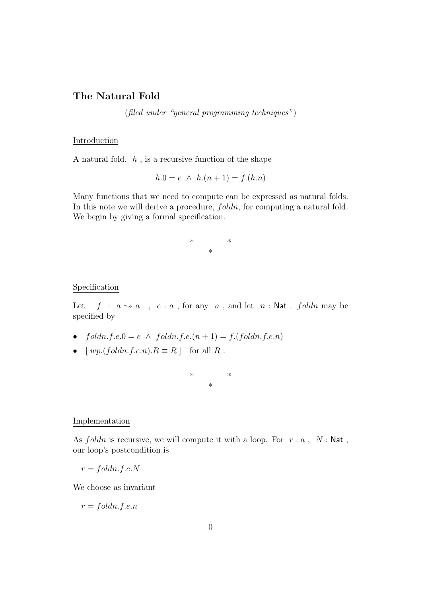## The Natural Fold

(filed under "general programming techniques")

## Introduction

A natural fold,  $h$ , is a recursive function of the shape

$$
h.0 = e \ \land \ h.(n+1) = f.(h.n)
$$

Many functions that we need to compute can be expressed as natural folds. In this note we will derive a procedure,  $f$ *oldn*, for computing a natural fold. We begin by giving a formal specification.

> \* \* \*

## Specification

Let  $f : a \rightarrow a$ ,  $e : a$ , for any  $a$ , and let  $n : \mathsf{Nat}$ . foldn may be specified by

- foldn.f.e.0 = e  $\land$  foldn.f.e. $(n + 1) = f$ .(foldn.f.e.n)
- $[wp.(foldn.f.e.n).R \equiv R]$  for all R.



## Implementation

As  $f$ oldn is recursive, we will compute it with a loop. For  $r : a$ ,  $N : \mathsf{Nat}$ , our loop's postcondition is

$$
r = foldn.f.e.N
$$

We choose as invariant

 $r = foldn.f.e.n$